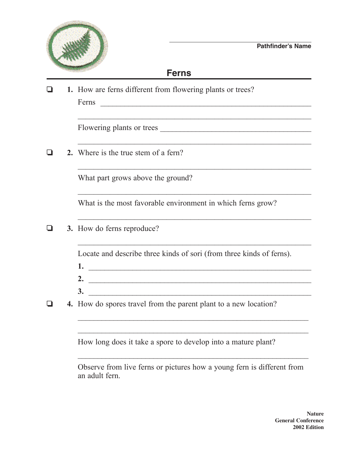

## **Ferns**

**1.** How are ferns different from flowering plants or trees? Ferns \_\_\_\_\_\_\_\_\_\_\_\_\_\_\_\_\_\_\_\_\_\_\_\_\_\_\_\_\_\_\_\_\_\_\_\_\_\_\_\_\_\_\_\_\_\_\_\_\_\_\_\_\_

Flowering plants or trees \_\_\_\_\_\_\_\_\_\_\_\_\_\_\_\_\_\_\_\_\_\_\_\_\_\_\_\_\_\_\_\_\_\_\_\_\_\_

**2.** Where is the true stem of a fern?

What part grows above the ground?

What is the most favorable environment in which ferns grow?

**4.** 3. How do ferms reproduce?

Locate and describe three kinds of sori (from three kinds of ferns).

**1.** \_\_\_\_\_\_\_\_\_\_\_\_\_\_\_\_\_\_\_\_\_\_\_\_\_\_\_\_\_\_\_\_\_\_\_\_\_\_\_\_\_\_\_\_\_\_\_\_\_\_\_\_\_\_\_\_

 $\mathcal{L}_\text{max}$  , and the contract of the contract of the contract of the contract of the contract of the contract of the contract of the contract of the contract of the contract of the contract of the contract of the contr

 $\mathcal{L}_\text{max}$  , and the contract of the contract of the contract of the contract of the contract of the contract of the contract of the contract of the contract of the contract of the contract of the contract of the contr

 $\mathcal{L}_\text{max}$  , and the contract of the contract of the contract of the contract of the contract of the contract of the contract of the contract of the contract of the contract of the contract of the contract of the contr

**2.** \_\_\_\_\_\_\_\_\_\_\_\_\_\_\_\_\_\_\_\_\_\_\_\_\_\_\_\_\_\_\_\_\_\_\_\_\_\_\_\_\_\_\_\_\_\_\_\_\_\_\_\_\_\_\_\_

 $\mathcal{L}_\text{max}$  , and the contract of the contract of the contract of the contract of the contract of the contract of the contract of the contract of the contract of the contract of the contract of the contract of the contr

 $\mathcal{L}_\text{max}$  , and the contract of the contract of the contract of the contract of the contract of the contract of the contract of the contract of the contract of the contract of the contract of the contract of the contr

 $\mathcal{L}_\text{max}$  , and the contract of the contract of the contract of the contract of the contract of the contract of

- **3.** \_\_\_\_\_\_\_\_\_\_\_\_\_\_\_\_\_\_\_\_\_\_\_\_\_\_\_\_\_\_\_\_\_\_\_\_\_\_\_\_\_\_\_\_\_\_\_\_\_\_\_\_\_\_\_\_
- **4.** How do spores travel from the parent plant to a new location?

How long does it take a spore to develop into a mature plant?

Observe from live ferns or pictures how a young fern is different from an adult fern.